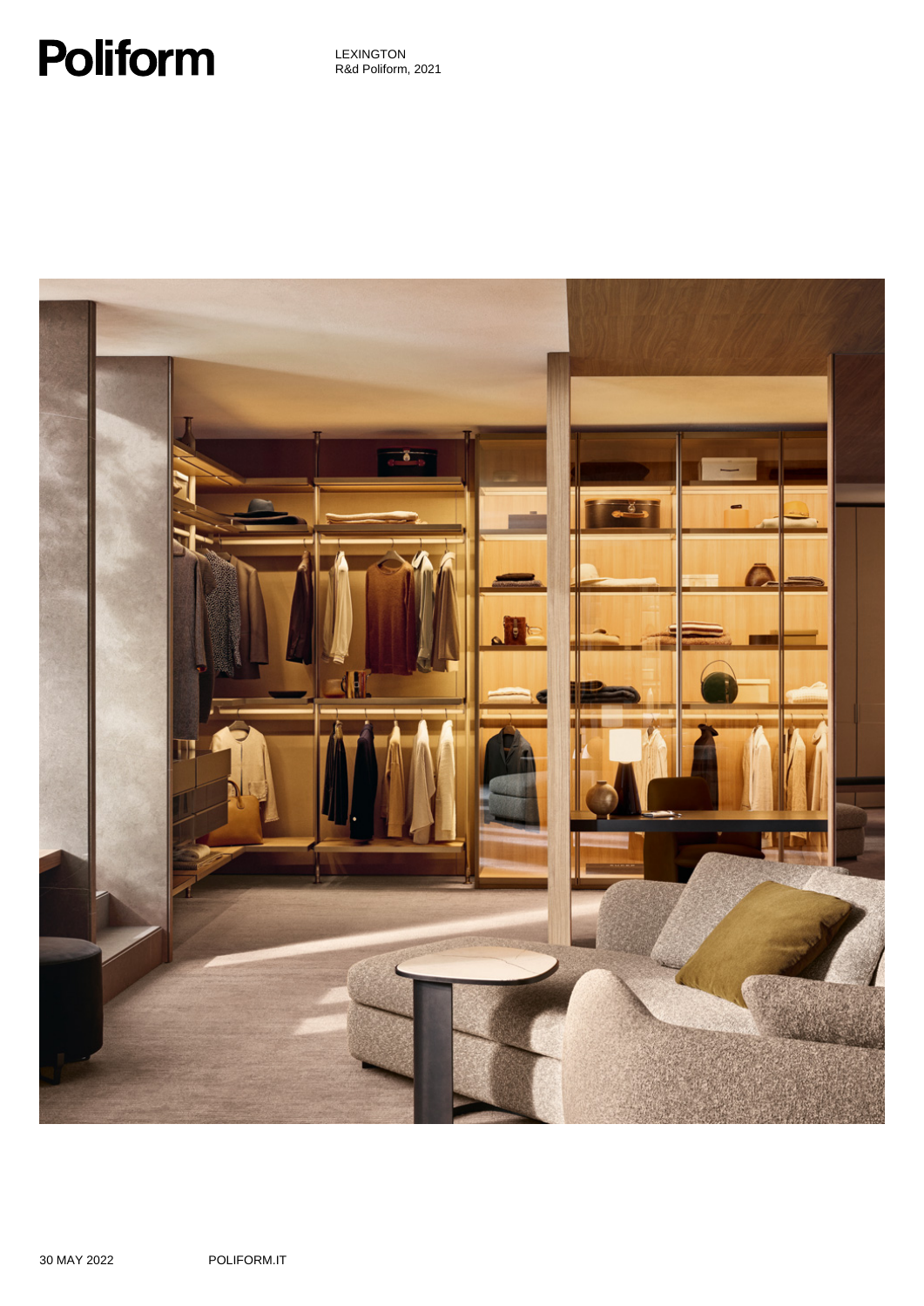# **Poliform**

LEXINGTON R&d Poliform, 2021

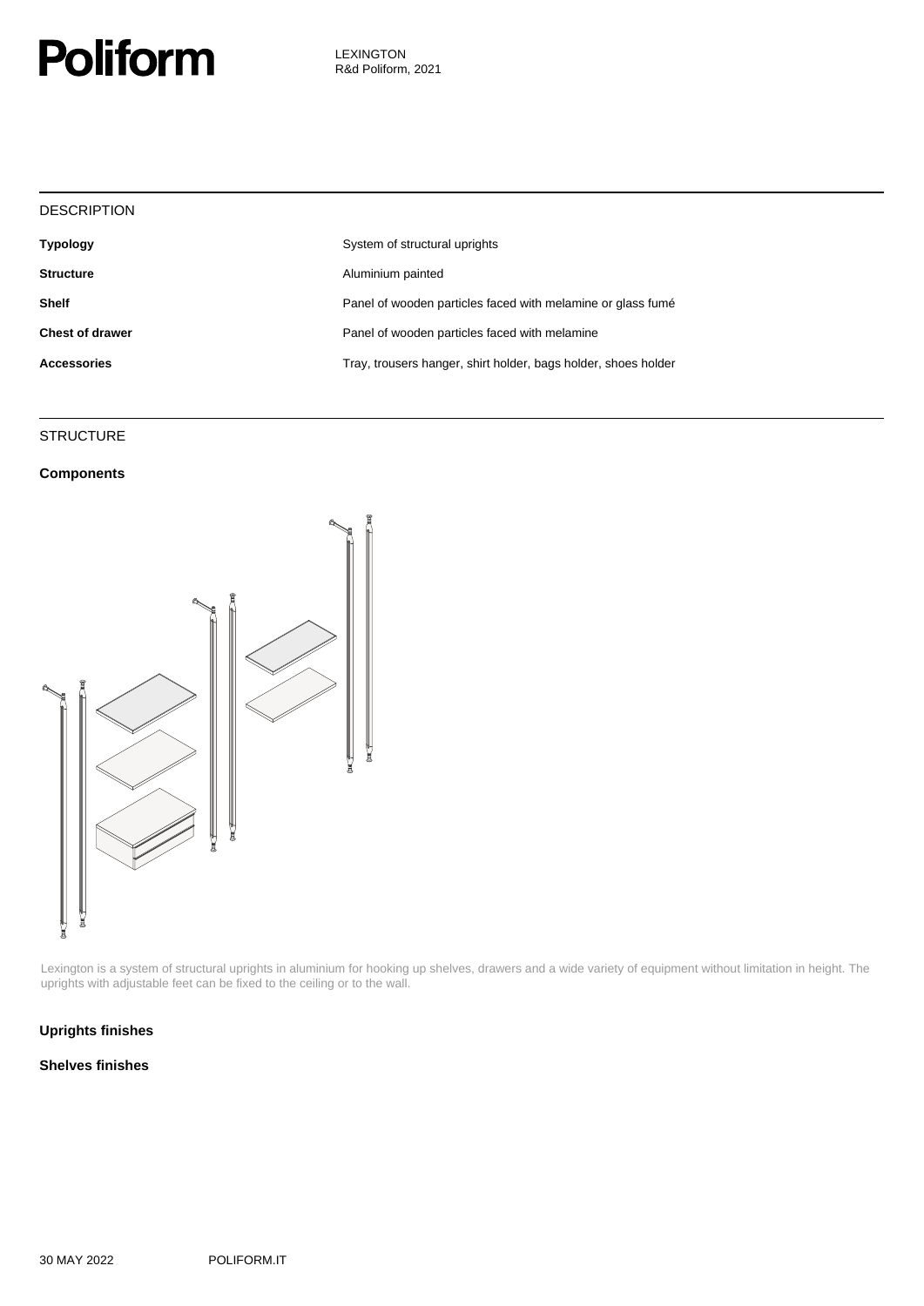

| <b>DESCRIPTION</b>     |                                                                |
|------------------------|----------------------------------------------------------------|
| <b>Typology</b>        | System of structural uprights                                  |
| <b>Structure</b>       | Aluminium painted                                              |
| <b>Shelf</b>           | Panel of wooden particles faced with melamine or glass fumé    |
| <b>Chest of drawer</b> | Panel of wooden particles faced with melamine                  |
| <b>Accessories</b>     | Tray, trousers hanger, shirt holder, bags holder, shoes holder |
|                        |                                                                |

### **STRUCTURE**

### **Components**



Lexington is a system of structural uprights in aluminium for hooking up shelves, drawers and a wide variety of equipment without limitation in height. The uprights with adjustable feet can be fixed to the ceiling or to the wall.

### **Uprights finishes**

#### **Shelves finishes**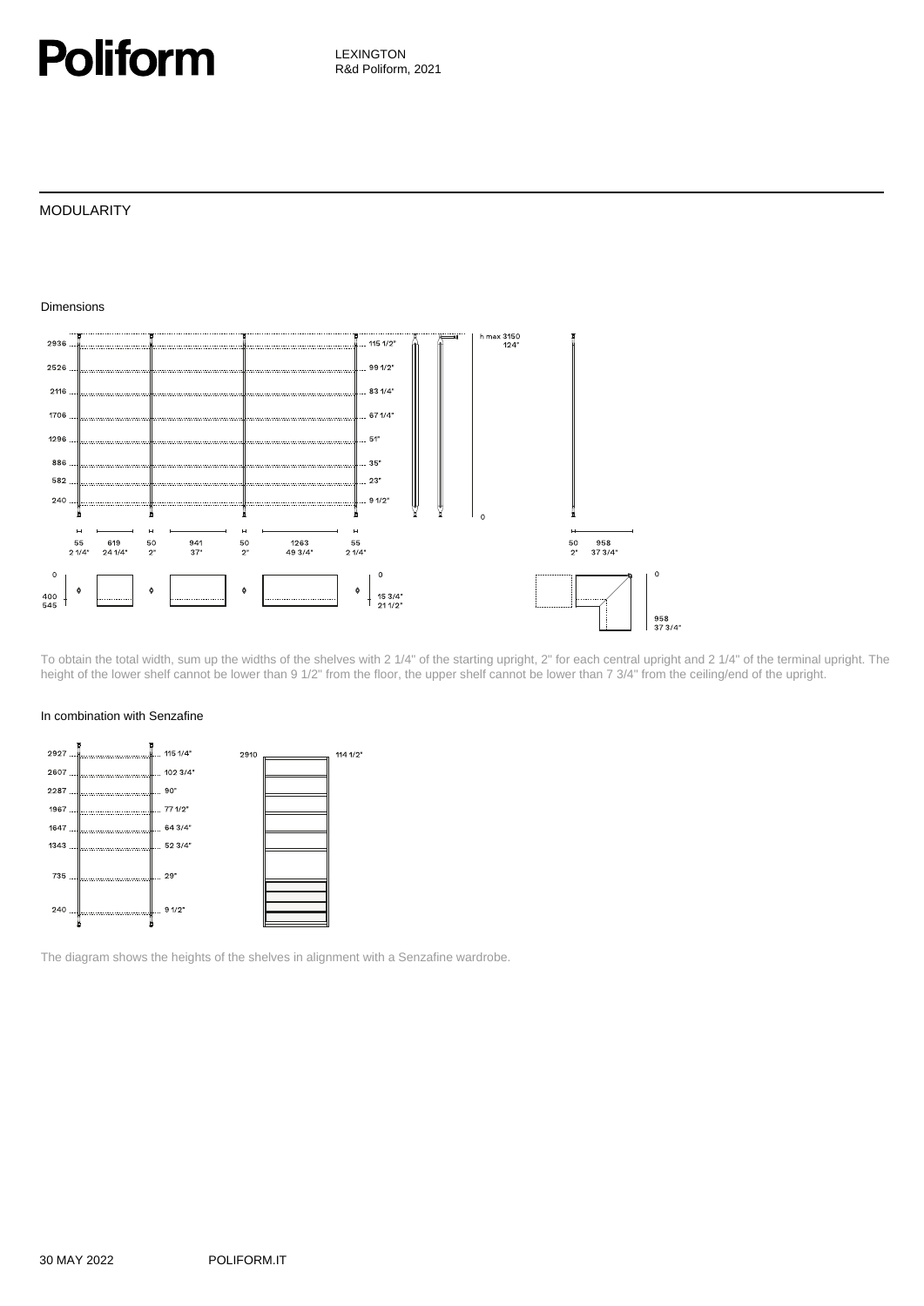### **Poliform**

LEXINGTON R&d Poliform, 2021

### MODULARITY



To obtain the total width, sum up the widths of the shelves with 2 1/4" of the starting upright, 2" for each central upright and 2 1/4" of the terminal upright. The height of the lower shelf cannot be lower than 9 1/2" from the floor, the upper shelf cannot be lower than 7 3/4" from the ceiling/end of the upright.

#### In combination with Senzafine



The diagram shows the heights of the shelves in alignment with a Senzafine wardrobe.

Dimensions